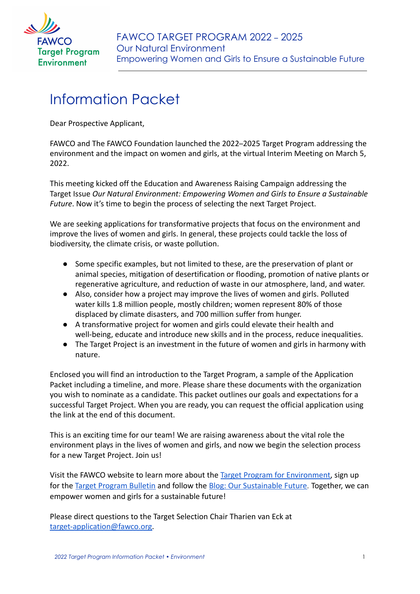

# Information Packet

Dear Prospective Applicant,

FAWCO and The FAWCO Foundation launched the 2022–2025 Target Program addressing the environment and the impact on women and girls, at the virtual Interim Meeting on March 5, 2022.

This meeting kicked off the Education and Awareness Raising Campaign addressing the Target Issue *Our Natural Environment: Empowering Women and Girls to Ensure a Sustainable Future*. Now it's time to begin the process of selecting the next Target Project.

We are seeking applications for transformative projects that focus on the environment and improve the lives of women and girls. In general, these projects could tackle the loss of biodiversity, the climate crisis, or waste pollution.

- Some specific examples, but not limited to these, are the preservation of plant or animal species, mitigation of desertification or flooding, promotion of native plants or regenerative agriculture, and reduction of waste in our atmosphere, land, and water.
- Also, consider how a project may improve the lives of women and girls. Polluted water kills 1.8 million people, mostly children; women represent 80% of those displaced by climate disasters, and 700 million suffer from hunger.
- A transformative project for women and girls could elevate their health and well-being, educate and introduce new skills and in the process, reduce inequalities.
- The Target Project is an investment in the future of women and girls in harmony with nature.

Enclosed you will find an introduction to the Target Program, a sample of the Application Packet including a timeline, and more. Please share these documents with the organization you wish to nominate as a candidate. This packet outlines our goals and expectations for a successful Target Project. When you are ready, you can request the official application using the link at the end of this document.

This is an exciting time for our team! We are raising awareness about the vital role the environment plays in the lives of women and girls, and now we begin the selection process for a new Target Project. Join us!

Visit the FAWCO website to learn more about the Target [Program for Environment,](https://www.fawco.org/global-issues/target-program/environment-2022-2025) sign up for the [Target Program Bulletin](https://fawco.us19.list-manage.com/subscribe?u=d007a066d34226c42d43f5443&id=e5c3451dbd) and follow the Blog: [Our Sustainable Future](https://www.fawco.org/global-issues/target-program/environment-2022-2025/blog-our-sustainable-future). Together, we can empower women and girls for a sustainable future!

Please direct questions to the Target Selection Chair Tharien van Eck at [target-application@fawco.org.](mailto:target@fawco.org)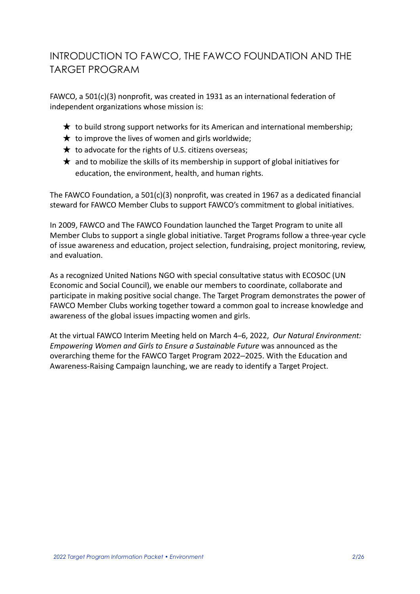## INTRODUCTION TO FAWCO, THE FAWCO FOUNDATION AND THE TARGET PROGRAM

FAWCO, a 501(c)(3) nonprofit, was created in 1931 as an international federation of independent organizations whose mission is:

- $\bigstar$  to build strong support networks for its American and international membership;
- $\star$  to improve the lives of women and girls worldwide;
- $\star$  to advocate for the rights of U.S. citizens overseas;
- $\star$  and to mobilize the skills of its membership in support of global initiatives for education, the environment, health, and human rights.

The FAWCO Foundation, a 501(c)(3) nonprofit, was created in 1967 as a dedicated financial steward for FAWCO Member Clubs to support FAWCO's commitment to global initiatives.

In 2009, FAWCO and The FAWCO Foundation launched the Target Program to unite all Member Clubs to support a single global initiative. Target Programs follow a three-year cycle of issue awareness and education, project selection, fundraising, project monitoring, review, and evaluation.

As a recognized United Nations NGO with special consultative status with ECOSOC (UN Economic and Social Council), we enable our members to coordinate, collaborate and participate in making positive social change. The Target Program demonstrates the power of FAWCO Member Clubs working together toward a common goal to increase knowledge and awareness of the global issues impacting women and girls.

At the virtual FAWCO Interim Meeting held on March 4–6, 2022, *Our Natural Environment: Empowering Women and Girls to Ensure a Sustainable Future* was announced as the overarching theme for the FAWCO Target Program 2022‒2025. With the Education and Awareness-Raising Campaign launching, we are ready to identify a Target Project.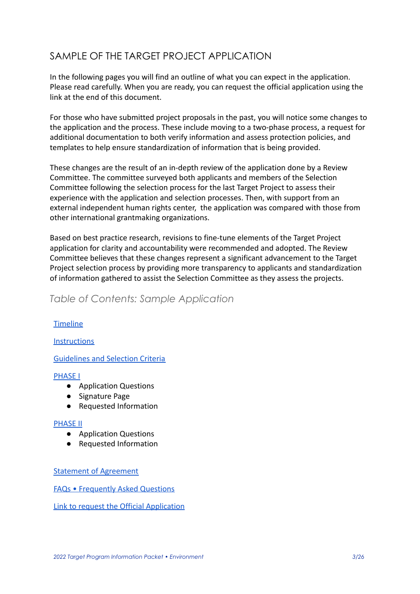## SAMPLE OF THE TARGET PROJECT APPLICATION

In the following pages you will find an outline of what you can expect in the application. Please read carefully. When you are ready, you can request the official application using the link at the end of this document.

For those who have submitted project proposals in the past, you will notice some changes to the application and the process. These include moving to a two-phase process, a request for additional documentation to both verify information and assess protection policies, and templates to help ensure standardization of information that is being provided.

These changes are the result of an in-depth review of the application done by a Review Committee. The committee surveyed both applicants and members of the Selection Committee following the selection process for the last Target Project to assess their experience with the application and selection processes. Then, with support from an external independent human rights center, the application was compared with those from other international grantmaking organizations.

Based on best practice research, revisions to fine-tune elements of the Target Project application for clarity and accountability were recommended and adopted. The Review Committee believes that these changes represent a significant advancement to the Target Project selection process by providing more transparency to applicants and standardization of information gathered to assist the Selection Committee as they assess the projects.

### *Table of Contents: Sample Application*

### **Timeline**

### **[Instructions](#page-5-0)**

### [Guidelines and Selection Criteria](#page-6-0)

### [PHASE I](#page-9-0)

- Application Questions
- Signature Page
- Requested Information

### [PHASE II](#page-15-0)

- Application Questions
- Requested Information

### [Statement of Agreement](#page-18-0)

[FAQs • Frequently Asked Questions](#page-23-0)

[Link to request the Official Application](#page-25-0)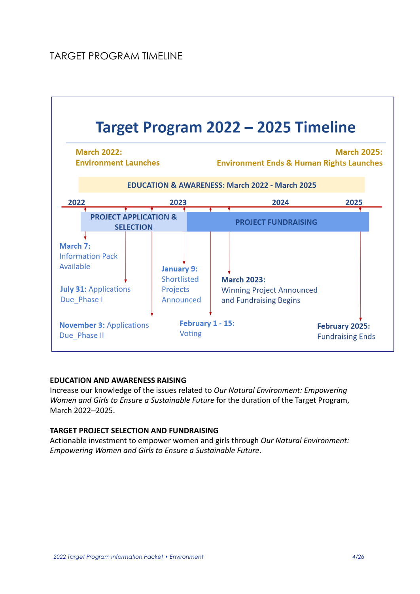

### **EDUCATION AND AWARENESS RAISING**

Increase our knowledge of the issues related to *Our Natural Environment: Empowering Women and Girls to Ensure a Sustainable Future* for the duration of the Target Program, March 2022-2025.

### **TARGET PROJECT SELECTION AND FUNDRAISING**

Actionable investment to empower women and girls through *Our Natural Environment: Empowering Women and Girls to Ensure a Sustainable Future*.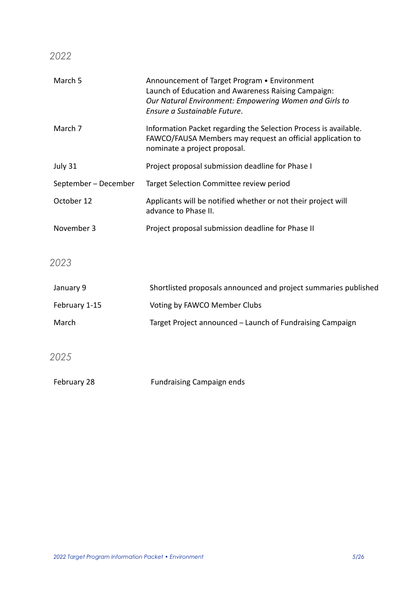*2022*

| March 5              | Announcement of Target Program . Environment<br>Launch of Education and Awareness Raising Campaign:<br>Our Natural Environment: Empowering Women and Girls to<br>Ensure a Sustainable Future. |
|----------------------|-----------------------------------------------------------------------------------------------------------------------------------------------------------------------------------------------|
| March 7              | Information Packet regarding the Selection Process is available.<br>FAWCO/FAUSA Members may request an official application to<br>nominate a project proposal.                                |
| July 31              | Project proposal submission deadline for Phase I                                                                                                                                              |
| September – December | Target Selection Committee review period                                                                                                                                                      |
| October 12           | Applicants will be notified whether or not their project will<br>advance to Phase II.                                                                                                         |
| November 3           | Project proposal submission deadline for Phase II                                                                                                                                             |
| 2023                 |                                                                                                                                                                                               |
| January 9            | Shortlisted proposals announced and project summaries published                                                                                                                               |
| February 1-15        | Voting by FAWCO Member Clubs                                                                                                                                                                  |
| March                | Target Project announced - Launch of Fundraising Campaign                                                                                                                                     |
|                      |                                                                                                                                                                                               |
| 2025                 |                                                                                                                                                                                               |
| February 28          | <b>Fundraising Campaign ends</b>                                                                                                                                                              |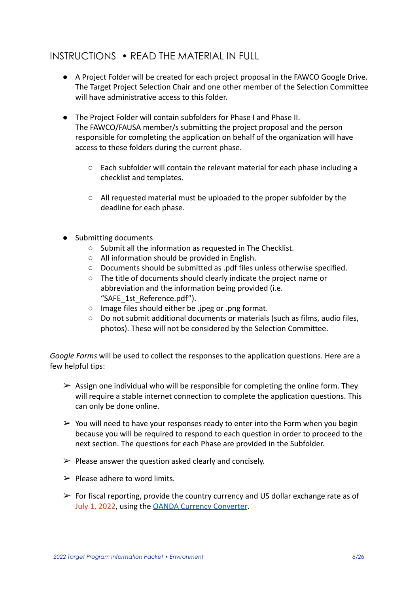## <span id="page-5-0"></span>INSTRUCTIONS • READ THE MATERIAL IN FULL

- A Project Folder will be created for each project proposal in the FAWCO Google Drive. The Target Project Selection Chair and one other member of the Selection Committee will have administrative access to this folder.
- The Project Folder will contain subfolders for Phase I and Phase II. The FAWCO/FAUSA member/s submitting the project proposal and the person responsible for completing the application on behalf of the organization will have access to these folders during the current phase.
	- Each subfolder will contain the relevant material for each phase including a checklist and templates.
	- All requested material must be uploaded to the proper subfolder by the deadline for each phase.
- Submitting documents
	- Submit all the information as requested in The Checklist.
	- All information should be provided in English.
	- Documents should be submitted as .pdf files unless otherwise specified.
	- The title of documents should clearly indicate the project name or abbreviation and the information being provided (i.e. "SAFE\_1st\_Reference.pdf").
	- Image files should either be .jpeg or .png format.
	- Do not submit additional documents or materials (such as films, audio files, photos). These will not be considered by the Selection Committee.

*Google Forms* will be used to collect the responses to the application questions. Here are a few helpful tips:

- $\triangleright$  Assign one individual who will be responsible for completing the online form. They will require a stable internet connection to complete the application questions. This can only be done online.
- $\triangleright$  You will need to have your responses ready to enter into the Form when you begin because you will be required to respond to each question in order to proceed to the next section. The questions for each Phase are provided in the Subfolder.
- $\triangleright$  Please answer the question asked clearly and concisely.
- $\triangleright$  Please adhere to word limits.
- $\triangleright$  For fiscal reporting, provide the country currency and US dollar exchange rate as of July 1, 2022, using the [OANDA Currency Converter](https://www.oanda.com/embedded/converter/show/b2FuZGFlY2N1c2VyLy9vYW5kYV9ob21lX3BhZ2U=/0/en/v2016eu).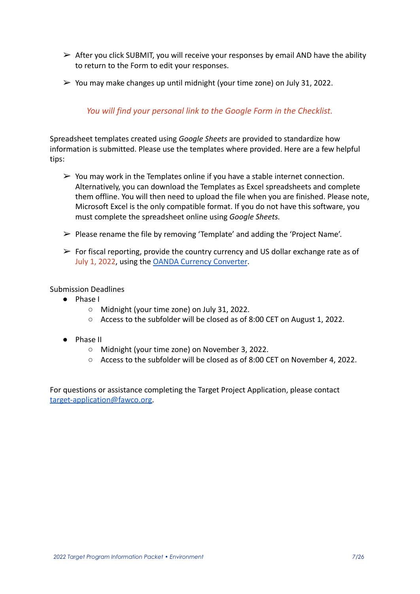- $\triangleright$  After you click SUBMIT, you will receive your responses by email AND have the ability to return to the Form to edit your responses.
- $\triangleright$  You may make changes up until midnight (your time zone) on July 31, 2022.

### *You will find your personal link to the Google Form in the Checklist.*

Spreadsheet templates created using *Google Sheets* are provided to standardize how information is submitted. Please use the templates where provided. Here are a few helpful tips:

- $\triangleright$  You may work in the Templates online if you have a stable internet connection. Alternatively, you can download the Templates as Excel spreadsheets and complete them offline. You will then need to upload the file when you are finished. Please note, Microsoft Excel is the only compatible format. If you do not have this software, you must complete the spreadsheet online using *Google Sheets.*
- ➢ Please rename the file by removing 'Template' and adding the 'Project Name'.
- $\triangleright$  For fiscal reporting, provide the country currency and US dollar exchange rate as of July 1, 2022, using the **[OANDA Currency Converter](https://www.oanda.com/embedded/converter/show/b2FuZGFlY2N1c2VyLy9vYW5kYV9ob21lX3BhZ2U=/0/en/v2016eu)**.

Submission Deadlines

- Phase I
	- Midnight (your time zone) on July 31, 2022.
	- Access to the subfolder will be closed as of 8:00 CET on August 1, 2022.
- Phase II
	- Midnight (your time zone) on November 3, 2022.
	- Access to the subfolder will be closed as of 8:00 CET on November 4, 2022.

<span id="page-6-0"></span>For questions or assistance completing the Target Project Application, please contact [target-application@fawco.org.](mailto:target@fawco.org)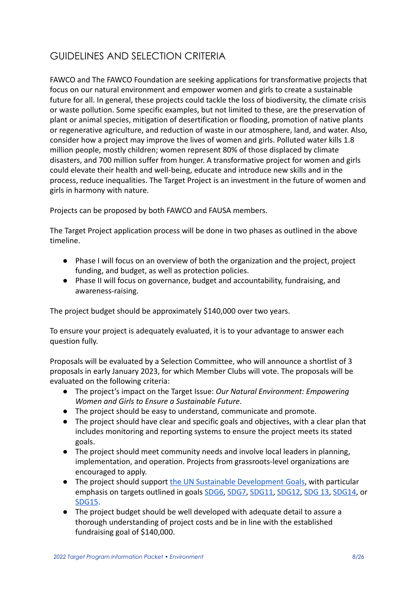## GUIDELINES AND SELECTION CRITERIA

FAWCO and The FAWCO Foundation are seeking applications for transformative projects that focus on our natural environment and empower women and girls to create a sustainable future for all. In general, these projects could tackle the loss of biodiversity, the climate crisis or waste pollution. Some specific examples, but not limited to these, are the preservation of plant or animal species, mitigation of desertification or flooding, promotion of native plants or regenerative agriculture, and reduction of waste in our atmosphere, land, and water. Also, consider how a project may improve the lives of women and girls. Polluted water kills 1.8 million people, mostly children; women represent 80% of those displaced by climate disasters, and 700 million suffer from hunger. A transformative project for women and girls could elevate their health and well-being, educate and introduce new skills and in the process, reduce inequalities. The Target Project is an investment in the future of women and girls in harmony with nature.

Projects can be proposed by both FAWCO and FAUSA members.

The Target Project application process will be done in two phases as outlined in the above timeline.

- Phase I will focus on an overview of both the organization and the project, project funding, and budget, as well as protection policies.
- Phase II will focus on governance, budget and accountability, fundraising, and awareness-raising.

The project budget should be approximately \$140,000 over two years.

To ensure your project is adequately evaluated, it is to your advantage to answer each question fully.

Proposals will be evaluated by a Selection Committee, who will announce a shortlist of 3 proposals in early January 2023, for which Member Clubs will vote. The proposals will be evaluated on the following criteria:

- The project's impact on the Target Issue: *Our Natural Environment: Empowering Women and Girls to Ensure a Sustainable Future*.
- The project should be easy to understand, communicate and promote.
- The project should have clear and specific goals and objectives, with a clear plan that includes monitoring and reporting systems to ensure the project meets its stated goals.
- The project should meet community needs and involve local leaders in planning, implementation, and operation. Projects from grassroots-level organizations are encouraged to apply.
- The project should support [the UN Sustainable Development](https://sdgs.un.org/goals) Goals, with particular emphasis on targets outlined in goals [SDG6](https://www.un.org/sustainabledevelopment/water-and-sanitation/), [SDG7](https://www.un.org/sustainabledevelopment/energy/), [SDG11,](https://sdgs.un.org/goals/goal11) [SDG12](https://sdgs.un.org/goals/goal12), [SDG 13](https://sdgs.un.org/goals/goal13), [SDG14](https://sdgs.un.org/goals/goal14), or [SDG15](https://sdgs.un.org/goals/goal15).
- The project budget should be well developed with adequate detail to assure a thorough understanding of project costs and be in line with the established fundraising goal of \$140,000.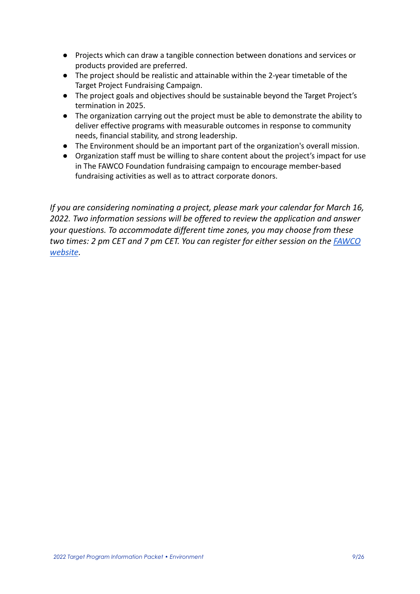- Projects which can draw a tangible connection between donations and services or products provided are preferred.
- The project should be realistic and attainable within the 2-year timetable of the Target Project Fundraising Campaign.
- The project goals and objectives should be sustainable beyond the Target Project's termination in 2025.
- The organization carrying out the project must be able to demonstrate the ability to deliver effective programs with measurable outcomes in response to community needs, financial stability, and strong leadership.
- The Environment should be an important part of the organization's overall mission.
- Organization staff must be willing to share content about the project's impact for use in The FAWCO Foundation fundraising campaign to encourage member-based fundraising activities as well as to attract corporate donors.

*If you are considering nominating a project, please mark your calendar for March 16, 2022. Two information sessions will be offered to review the application and answer your questions. To accommodate different time zones, you may choose from these two times: 2 pm CET and 7 pm CET. You can register for either session on the [FAWCO](https://www.fawco.org/about/how-we-work/fawco-calendar/monthcalendar/2022/3/-) [website](https://www.fawco.org/about/how-we-work/fawco-calendar/monthcalendar/2022/3/-).*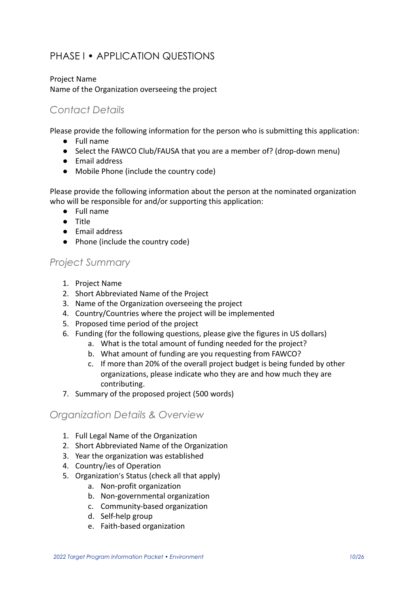## <span id="page-9-0"></span>PHASE I • APPLICATION QUESTIONS

### Project Name Name of the Organization overseeing the project

### *Contact Details*

Please provide the following information for the person who is submitting this application:

- Full name
- Select the FAWCO Club/FAUSA that you are a member of? (drop-down menu)
- Email address
- Mobile Phone (include the country code)

Please provide the following information about the person at the nominated organization who will be responsible for and/or supporting this application:

- Full name
- Title
- Email address
- Phone (include the country code)

### *Project Summary*

- 1. Project Name
- 2. Short Abbreviated Name of the Project
- 3. Name of the Organization overseeing the project
- 4. Country/Countries where the project will be implemented
- 5. Proposed time period of the project
- 6. Funding (for the following questions, please give the figures in US dollars)
	- a. What is the total amount of funding needed for the project?
		- b. What amount of funding are you requesting from FAWCO?
	- c. If more than 20% of the overall project budget is being funded by other organizations, please indicate who they are and how much they are contributing.
- 7. Summary of the proposed project (500 words)

### *Organization Details & Overview*

- 1. Full Legal Name of the Organization
- 2. Short Abbreviated Name of the Organization
- 3. Year the organization was established
- 4. Country/ies of Operation
- 5. Organization's Status (check all that apply)
	- a. Non-profit organization
	- b. Non-governmental organization
	- c. Community-based organization
	- d. Self-help group
	- e. Faith-based organization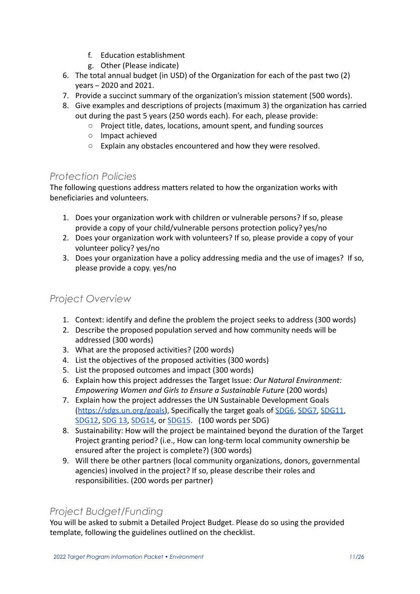- f. Education establishment
- g. Other (Please indicate)
- 6. The total annual budget (in USD) of the Organization for each of the past two (2) years – 2020 and 2021.
- 7. Provide a succinct summary of the organization's mission statement (500 words).
- 8. Give examples and descriptions of projects (maximum 3) the organization has carried out during the past 5 years (250 words each). For each, please provide:
	- Project title, dates, locations, amount spent, and funding sources
	- Impact achieved
	- Explain any obstacles encountered and how they were resolved.

### *Protection Policies*

The following questions address matters related to how the organization works with beneficiaries and volunteers.

- 1. Does your organization work with children or vulnerable persons? If so, please provide a copy of your child/vulnerable persons protection policy? yes/no
- 2. Does your organization work with volunteers? If so, please provide a copy of your volunteer policy? yes/no
- 3. Does your organization have a policy addressing media and the use of images? If so, please provide a copy. yes/no

## *Project Overview*

- 1. Context: identify and define the problem the project seeks to address (300 words)
- 2. Describe the proposed population served and how community needs will be addressed (300 words)
- 3. What are the proposed activities? (200 words)
- 4. List the objectives of the proposed activities (300 words)
- 5. List the proposed outcomes and impact (300 words)
- 6. Explain how this project addresses the Target Issue: *Our Natural Environment: Empowering Women and Girls to Ensure a Sustainable Future* (200 words)
- 7. Explain how the project addresses the UN Sustainable Development Goals ([https://sdgs.un.org/goals\)](https://sdgs.un.org/goals), Specifically the target goals of [SDG6](https://www.un.org/sustainabledevelopment/water-and-sanitation/), [SDG7,](https://www.un.org/sustainabledevelopment/energy/) [SDG11,](https://sdgs.un.org/goals/goal11) [SDG12](https://sdgs.un.org/goals/goal12), [SDG 13,](https://sdgs.un.org/goals/goal13) [SDG14,](https://sdgs.un.org/goals/goal14) or [SDG15](https://sdgs.un.org/goals/goal15). (100 words per SDG)
- 8. Sustainability: How will the project be maintained beyond the duration of the Target Project granting period? (i.e., How can long-term local community ownership be ensured after the project is complete?) (300 words)
- 9. Will there be other partners (local community organizations, donors, governmental agencies) involved in the project? If so, please describe their roles and responsibilities. (200 words per partner)

### *Project Budget/Funding*

You will be asked to submit a Detailed Project Budget. Please do so using the provided template, following the guidelines outlined on the checklist.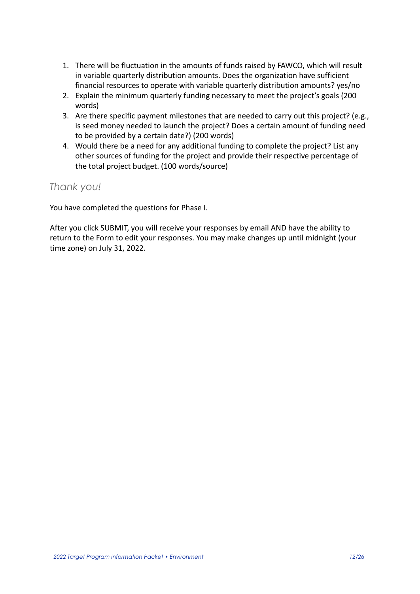- 1. There will be fluctuation in the amounts of funds raised by FAWCO, which will result in variable quarterly distribution amounts. Does the organization have sufficient financial resources to operate with variable quarterly distribution amounts? yes/no
- 2. Explain the minimum quarterly funding necessary to meet the project's goals (200 words)
- 3. Are there specific payment milestones that are needed to carry out this project? (e.g., is seed money needed to launch the project? Does a certain amount of funding need to be provided by a certain date?) (200 words)
- 4. Would there be a need for any additional funding to complete the project? List any other sources of funding for the project and provide their respective percentage of the total project budget. (100 words/source)

### *Thank you!*

You have completed the questions for Phase I.

After you click SUBMIT, you will receive your responses by email AND have the ability to return to the Form to edit your responses. You may make changes up until midnight (your time zone) on July 31, 2022.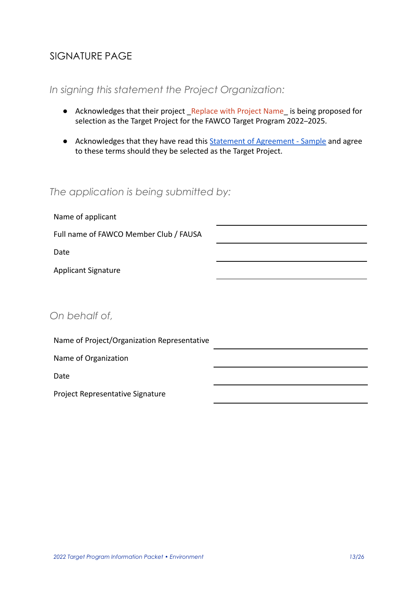## SIGNATURE PAGE

### *In signing this statement the Project Organization:*

- Acknowledges that their project Replace with Project Name is being proposed for selection as the Target Project for the FAWCO Target Program 2022–2025.
- Acknowledges that they have read this Statement of [Agreement Sample](#page-18-0) and agree to these terms should they be selected as the Target Project.

## *The application is being submitted by:*

| Name of applicant                           |  |
|---------------------------------------------|--|
| Full name of FAWCO Member Club / FAUSA      |  |
| Date                                        |  |
| <b>Applicant Signature</b>                  |  |
|                                             |  |
| On behalf of,                               |  |
| Name of Project/Organization Representative |  |

Name of Organization

Date

Project Representative Signature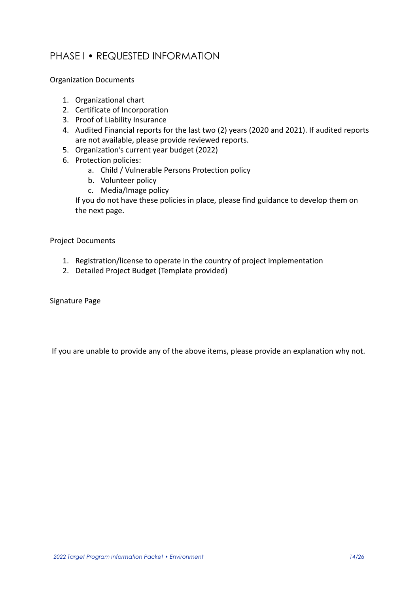## PHASE I • REQUESTED INFORMATION

Organization Documents

- 1. Organizational chart
- 2. Certificate of Incorporation
- 3. Proof of Liability Insurance
- 4. Audited Financial reports for the last two (2) years (2020 and 2021). If audited reports are not available, please provide reviewed reports.
- 5. Organization's current year budget (2022)
- 6. Protection policies:
	- a. Child / Vulnerable Persons Protection policy
	- b. Volunteer policy
	- c. Media/Image policy

If you do not have these policies in place, please find guidance to develop them on the next page.

Project Documents

- 1. Registration/license to operate in the country of project implementation
- 2. Detailed Project Budget (Template provided)

Signature Page

If you are unable to provide any of the above items, please provide an explanation why not.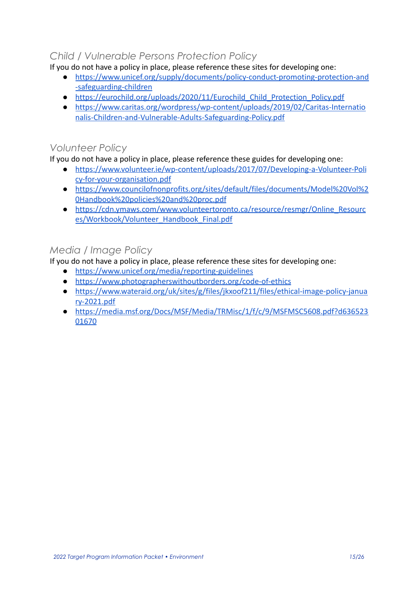## *Child / Vulnerable Persons Protection Policy*

If you do not have a policy in place, please reference these sites for developing one:

- [https://www.unicef.org/supply/documents/policy-conduct-promoting-protection-and](https://www.unicef.org/supply/documents/policy-conduct-promoting-protection-and-safeguarding-children) [-safeguarding-children](https://www.unicef.org/supply/documents/policy-conduct-promoting-protection-and-safeguarding-children)
- [https://eurochild.org/uploads/2020/11/Eurochild\\_Child\\_Protection\\_Policy.pdf](https://eurochild.org/uploads/2020/11/Eurochild_Child_Protection_Policy.pdf)
- [https://www.caritas.org/wordpress/wp-content/uploads/2019/02/Caritas-Internatio](https://www.caritas.org/wordpress/wp-content/uploads/2019/02/Caritas-Internationalis-Children-and-Vulnerable-Adults-Safeguarding-Policy.pdf) [nalis-Children-and-Vulnerable-Adults-Safeguarding-Policy.pdf](https://www.caritas.org/wordpress/wp-content/uploads/2019/02/Caritas-Internationalis-Children-and-Vulnerable-Adults-Safeguarding-Policy.pdf)

### *Volunteer Policy*

If you do not have a policy in place, please reference these guides for developing one:

- [https://www.volunteer.ie/wp-content/uploads/2017/07/Developing-a-Volunteer-Poli](https://www.volunteer.ie/wp-content/uploads/2017/07/Developing-a-Volunteer-Policy-for-your-organisation.pdf) [cy-for-your-organisation.pdf](https://www.volunteer.ie/wp-content/uploads/2017/07/Developing-a-Volunteer-Policy-for-your-organisation.pdf)
- [https://www.councilofnonprofits.org/sites/default/files/documents/Model%20Vol%2](https://www.councilofnonprofits.org/sites/default/files/documents/Model%20Vol%20Handbook%20policies%20and%20proc.pdf) [0Handbook%20policies%20and%20proc.pdf](https://www.councilofnonprofits.org/sites/default/files/documents/Model%20Vol%20Handbook%20policies%20and%20proc.pdf)
- [https://cdn.ymaws.com/www.volunteertoronto.ca/resource/resmgr/Online\\_Resourc](https://cdn.ymaws.com/www.volunteertoronto.ca/resource/resmgr/Online_Resources/Workbook/Volunteer_Handbook_Final.pdf) [es/Workbook/Volunteer\\_Handbook\\_Final.pdf](https://cdn.ymaws.com/www.volunteertoronto.ca/resource/resmgr/Online_Resources/Workbook/Volunteer_Handbook_Final.pdf)

## *Media / Image Policy*

If you do not have a policy in place, please reference these sites for developing one:

- <https://www.unicef.org/media/reporting-guidelines>
- <https://www.photographerswithoutborders.org/code-of-ethics>
- [https://www.wateraid.org/uk/sites/g/files/jkxoof211/files/ethical-image-policy-janua](https://www.wateraid.org/uk/sites/g/files/jkxoof211/files/ethical-image-policy-january-2021.pdf) [ry-2021.pdf](https://www.wateraid.org/uk/sites/g/files/jkxoof211/files/ethical-image-policy-january-2021.pdf)
- [https://media.msf.org/Docs/MSF/Media/TRMisc/1/f/c/9/MSFMSC5608.pdf?d636523](https://media.msf.org/Docs/MSF/Media/TRMisc/1/f/c/9/MSFMSC5608.pdf?d63652301670) [01670](https://media.msf.org/Docs/MSF/Media/TRMisc/1/f/c/9/MSFMSC5608.pdf?d63652301670)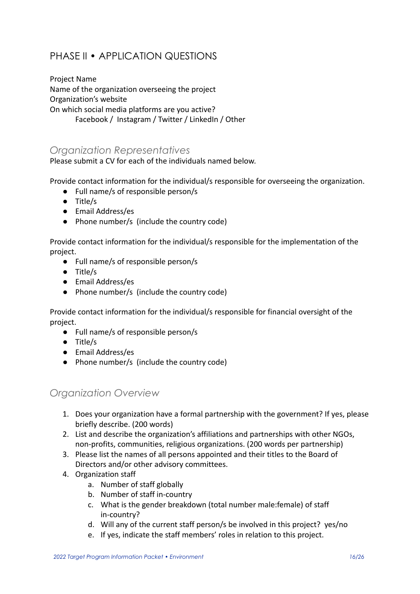## <span id="page-15-0"></span>PHASE II • APPLICATION QUESTIONS

Project Name Name of the organization overseeing the project Organization's website On which social media platforms are you active? Facebook / Instagram / Twitter / LinkedIn / Other

## *Organization Representatives*

Please submit a CV for each of the individuals named below.

Provide contact information for the individual/s responsible for overseeing the organization.

- Full name/s of responsible person/s
- Title/s
- Email Address/es
- Phone number/s (include the country code)

Provide contact information for the individual/s responsible for the implementation of the project.

- Full name/s of responsible person/s
- Title/s
- Email Address/es
- Phone number/s (include the country code)

Provide contact information for the individual/s responsible for financial oversight of the project.

- Full name/s of responsible person/s
- Title/s
- Email Address/es
- Phone number/s (include the country code)

### *Organization Overview*

- 1. Does your organization have a formal partnership with the government? If yes, please briefly describe. (200 words)
- 2. List and describe the organization's affiliations and partnerships with other NGOs, non-profits, communities, religious organizations. (200 words per partnership)
- 3. Please list the names of all persons appointed and their titles to the Board of Directors and/or other advisory committees.
- 4. Organization staff
	- a. Number of staff globally
	- b. Number of staff in-country
	- c. What is the gender breakdown (total number male:female) of staff in-country?
	- d. Will any of the current staff person/s be involved in this project? yes/no
	- e. If yes, indicate the staff members' roles in relation to this project.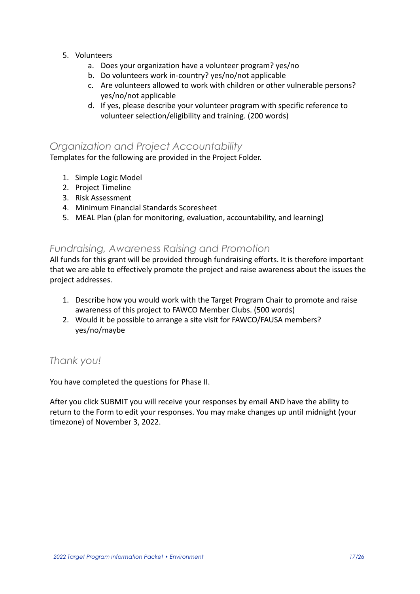- 5. Volunteers
	- a. Does your organization have a volunteer program? yes/no
	- b. Do volunteers work in-country? yes/no/not applicable
	- c. Are volunteers allowed to work with children or other vulnerable persons? yes/no/not applicable
	- d. If yes, please describe your volunteer program with specific reference to volunteer selection/eligibility and training. (200 words)

### *Organization and Project Accountability*

Templates for the following are provided in the Project Folder.

- 1. Simple Logic Model
- 2. Project Timeline
- 3. Risk Assessment
- 4. Minimum Financial Standards Scoresheet
- 5. MEAL Plan (plan for monitoring, evaluation, accountability, and learning)

### *Fundraising, Awareness Raising and Promotion*

All funds for this grant will be provided through fundraising efforts. It is therefore important that we are able to effectively promote the project and raise awareness about the issues the project addresses.

- 1. Describe how you would work with the Target Program Chair to promote and raise awareness of this project to FAWCO Member Clubs. (500 words)
- 2. Would it be possible to arrange a site visit for FAWCO/FAUSA members? yes/no/maybe

### *Thank you!*

You have completed the questions for Phase II.

After you click SUBMIT you will receive your responses by email AND have the ability to return to the Form to edit your responses. You may make changes up until midnight (your timezone) of November 3, 2022.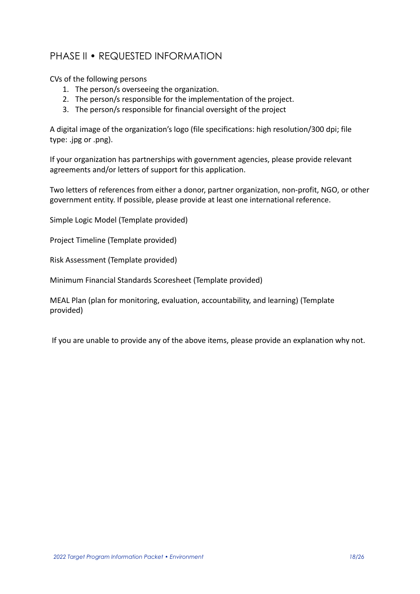## PHASE II • REQUESTED INFORMATION

CVs of the following persons

- 1. The person/s overseeing the organization.
- 2. The person/s responsible for the implementation of the project.
- 3. The person/s responsible for financial oversight of the project

A digital image of the organization's logo (file specifications: high resolution/300 dpi; file type: .jpg or .png).

If your organization has partnerships with government agencies, please provide relevant agreements and/or letters of support for this application.

Two letters of references from either a donor, partner organization, non-profit, NGO, or other government entity. If possible, please provide at least one international reference.

Simple Logic Model (Template provided)

Project Timeline (Template provided)

Risk Assessment (Template provided)

Minimum Financial Standards Scoresheet (Template provided)

MEAL Plan (plan for monitoring, evaluation, accountability, and learning) (Template provided)

If you are unable to provide any of the above items, please provide an explanation why not.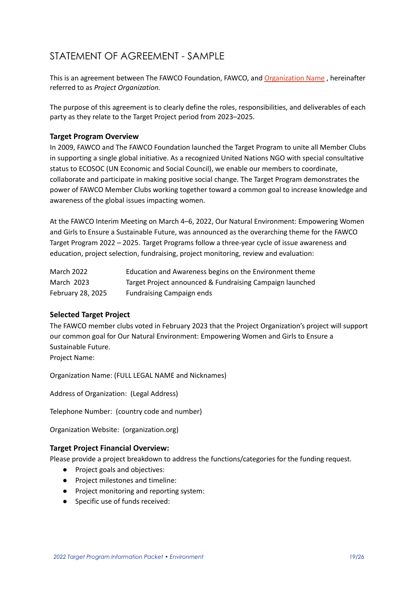## <span id="page-18-0"></span>STATEMENT OF AGREEMENT - SAMPLE

This is an agreement between The FAWCO Foundation, FAWCO, and Organization Name, hereinafter referred to as *Project Organization.*

The purpose of this agreement is to clearly define the roles, responsibilities, and deliverables of each party as they relate to the Target Project period from 2023–2025.

#### **Target Program Overview**

In 2009, FAWCO and The FAWCO Foundation launched the Target Program to unite all Member Clubs in supporting a single global initiative. As a recognized United Nations NGO with special consultative status to ECOSOC (UN Economic and Social Council), we enable our members to coordinate, collaborate and participate in making positive social change. The Target Program demonstrates the power of FAWCO Member Clubs working together toward a common goal to increase knowledge and awareness of the global issues impacting women.

At the FAWCO Interim Meeting on March 4–6, 2022, Our Natural Environment: Empowering Women and Girls to Ensure a Sustainable Future, was announced as the overarching theme for the FAWCO Target Program 2022 – 2025. Target Programs follow a three-year cycle of issue awareness and education, project selection, fundraising, project monitoring, review and evaluation:

| March 2022        | Education and Awareness begins on the Environment theme  |
|-------------------|----------------------------------------------------------|
| March 2023        | Target Project announced & Fundraising Campaign launched |
| February 28, 2025 | <b>Fundraising Campaign ends</b>                         |

### **Selected Target Project**

The FAWCO member clubs voted in February 2023 that the Project Organization's project will support our common goal for Our Natural Environment: Empowering Women and Girls to Ensure a Sustainable Future.

Project Name:

Organization Name: (FULL LEGAL NAME and Nicknames)

Address of Organization: (Legal Address)

Telephone Number: (country code and number)

Organization Website: (organization.org)

#### **Target Project Financial Overview:**

Please provide a project breakdown to address the functions/categories for the funding request.

- Project goals and objectives:
- Project milestones and timeline:
- Project monitoring and reporting system:
- Specific use of funds received: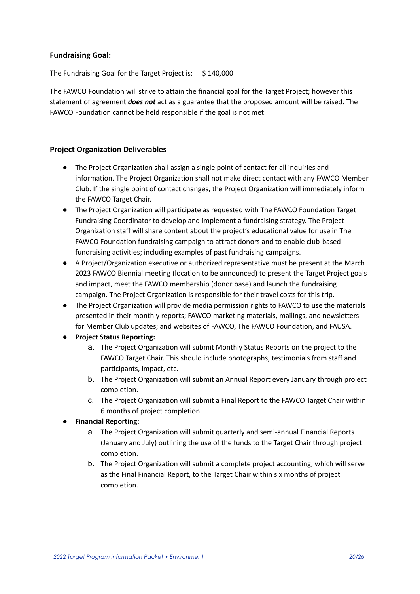#### **Fundraising Goal:**

The Fundraising Goal for the Target Project is: \$140,000

The FAWCO Foundation will strive to attain the financial goal for the Target Project; however this statement of agreement *does not* act as a guarantee that the proposed amount will be raised. The FAWCO Foundation cannot be held responsible if the goal is not met.

### **Project Organization Deliverables**

- The Project Organization shall assign a single point of contact for all inquiries and information. The Project Organization shall not make direct contact with any FAWCO Member Club. If the single point of contact changes, the Project Organization will immediately inform the FAWCO Target Chair.
- The Project Organization will participate as requested with The FAWCO Foundation Target Fundraising Coordinator to develop and implement a fundraising strategy. The Project Organization staff will share content about the project's educational value for use in The FAWCO Foundation fundraising campaign to attract donors and to enable club-based fundraising activities; including examples of past fundraising campaigns.
- A Project/Organization executive or authorized representative must be present at the March 2023 FAWCO Biennial meeting (location to be announced) to present the Target Project goals and impact, meet the FAWCO membership (donor base) and launch the fundraising campaign. The Project Organization is responsible for their travel costs for this trip.
- The Project Organization will provide media permission rights to FAWCO to use the materials presented in their monthly reports; FAWCO marketing materials, mailings, and newsletters for Member Club updates; and websites of FAWCO, The FAWCO Foundation, and FAUSA.
- **● Project Status Reporting:**
	- a. The Project Organization will submit Monthly Status Reports on the project to the FAWCO Target Chair. This should include photographs, testimonials from staff and participants, impact, etc.
	- b. The Project Organization will submit an Annual Report every January through project completion.
	- c. The Project Organization will submit a Final Report to the FAWCO Target Chair within 6 months of project completion.
- **● Financial Reporting:**
	- a. The Project Organization will submit quarterly and semi-annual Financial Reports (January and July) outlining the use of the funds to the Target Chair through project completion.
	- b. The Project Organization will submit a complete project accounting, which will serve as the Final Financial Report, to the Target Chair within six months of project completion.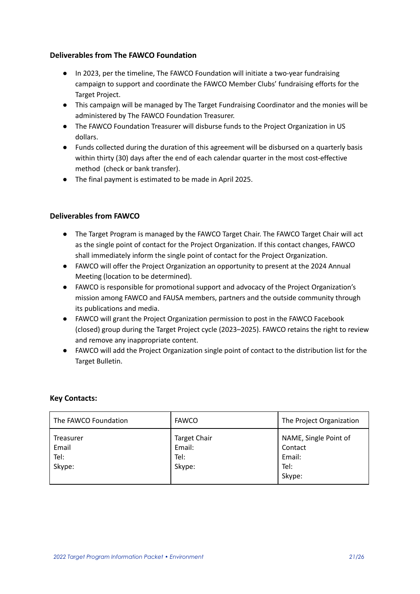### **Deliverables from The FAWCO Foundation**

- In 2023, per the timeline, The FAWCO Foundation will initiate a two-year fundraising campaign to support and coordinate the FAWCO Member Clubs' fundraising efforts for the Target Project.
- This campaign will be managed by The Target Fundraising Coordinator and the monies will be administered by The FAWCO Foundation Treasurer.
- The FAWCO Foundation Treasurer will disburse funds to the Project Organization in US dollars.
- Funds collected during the duration of this agreement will be disbursed on a quarterly basis within thirty (30) days after the end of each calendar quarter in the most cost-effective method (check or bank transfer).
- The final payment is estimated to be made in April 2025.

### **Deliverables from FAWCO**

- The Target Program is managed by the FAWCO Target Chair. The FAWCO Target Chair will act as the single point of contact for the Project Organization. If this contact changes, FAWCO shall immediately inform the single point of contact for the Project Organization.
- FAWCO will offer the Project Organization an opportunity to present at the 2024 Annual Meeting (location to be determined).
- FAWCO is responsible for promotional support and advocacy of the Project Organization's mission among FAWCO and FAUSA members, partners and the outside community through its publications and media.
- FAWCO will grant the Project Organization permission to post in the FAWCO Facebook (closed) group during the Target Project cycle (2023–2025). FAWCO retains the right to review and remove any inappropriate content.
- FAWCO will add the Project Organization single point of contact to the distribution list for the Target Bulletin.

### **Key Contacts:**

| The FAWCO Foundation                 | <b>FAWCO</b>                                    | The Project Organization                                     |
|--------------------------------------|-------------------------------------------------|--------------------------------------------------------------|
| Treasurer<br>Email<br>Tel:<br>Skype: | <b>Target Chair</b><br>Email:<br>Tel:<br>Skype: | NAME, Single Point of<br>Contact<br>Email:<br>Tel:<br>Skype: |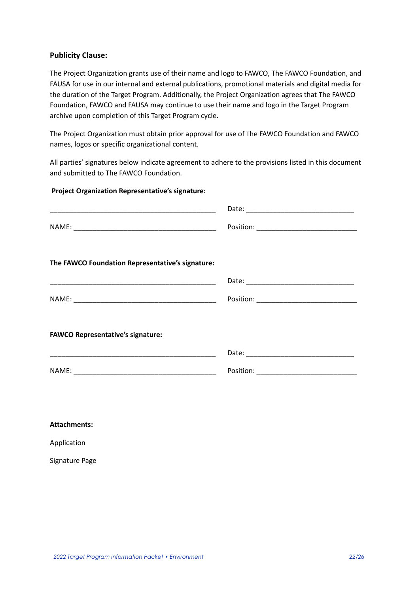#### **Publicity Clause:**

The Project Organization grants use of their name and logo to FAWCO, The FAWCO Foundation, and FAUSA for use in our internal and external publications, promotional materials and digital media for the duration of the Target Program. Additionally, the Project Organization agrees that The FAWCO Foundation, FAWCO and FAUSA may continue to use their name and logo in the Target Program archive upon completion of this Target Program cycle.

The Project Organization must obtain prior approval for use of The FAWCO Foundation and FAWCO names, logos or specific organizational content.

All parties' signatures below indicate agreement to adhere to the provisions listed in this document and submitted to The FAWCO Foundation.

#### **Project Organization Representative's signature:**

| <u> 1980 - Jan James James James James James James James James James James James James James James James James J</u> |                                                                                                                                                                                                                               |
|----------------------------------------------------------------------------------------------------------------------|-------------------------------------------------------------------------------------------------------------------------------------------------------------------------------------------------------------------------------|
|                                                                                                                      |                                                                                                                                                                                                                               |
| The FAWCO Foundation Representative's signature:                                                                     |                                                                                                                                                                                                                               |
|                                                                                                                      |                                                                                                                                                                                                                               |
|                                                                                                                      |                                                                                                                                                                                                                               |
| <b>FAWCO Representative's signature:</b>                                                                             |                                                                                                                                                                                                                               |
|                                                                                                                      | Date: Date: Date: Date: Date: Date: Date: Date: Date: Date: Date: Date: Date: Date: Date: Date: Date: Date: Date: Date: Date: Date: Date: Date: Date: Date: Date: Date: Date: Date: Date: Date: Date: Date: Date: Date: Date: |
|                                                                                                                      |                                                                                                                                                                                                                               |

| <b>Attachments:</b> |
|---------------------|
|---------------------|

Application

Signature Page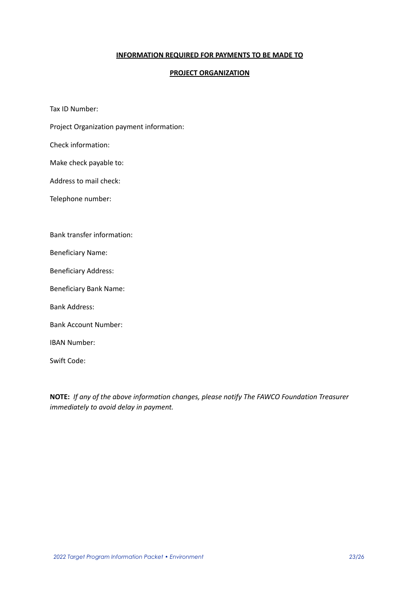#### **INFORMATION REQUIRED FOR PAYMENTS TO BE MADE TO**

#### **PROJECT ORGANIZATION**

Tax ID Number:

Project Organization payment information:

Check information:

Make check payable to:

Address to mail check:

Telephone number:

Bank transfer information:

Beneficiary Name:

Beneficiary Address:

Beneficiary Bank Name:

Bank Address:

Bank Account Number:

IBAN Number:

Swift Code:

**NOTE:** *If any of the above information changes, please notify The FAWCO Foundation Treasurer immediately to avoid delay in payment.*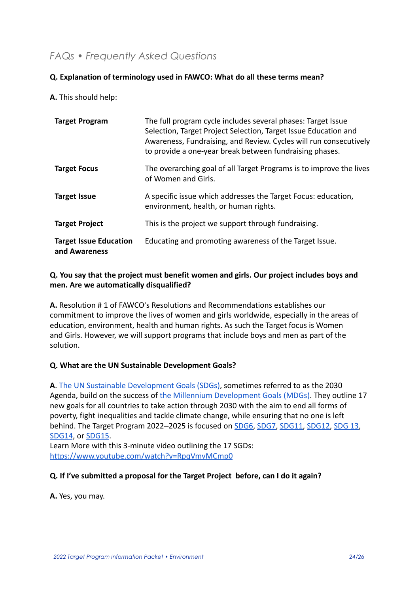## <span id="page-23-0"></span>*FAQs • Frequently Asked Questions*

### **Q. Explanation of terminology used in FAWCO: What do all these terms mean?**

### **A.** This should help:

| <b>Target Program</b>                          | The full program cycle includes several phases: Target Issue<br>Selection, Target Project Selection, Target Issue Education and<br>Awareness, Fundraising, and Review. Cycles will run consecutively<br>to provide a one-year break between fundraising phases. |
|------------------------------------------------|-----------------------------------------------------------------------------------------------------------------------------------------------------------------------------------------------------------------------------------------------------------------|
| <b>Target Focus</b>                            | The overarching goal of all Target Programs is to improve the lives<br>of Women and Girls.                                                                                                                                                                      |
| <b>Target Issue</b>                            | A specific issue which addresses the Target Focus: education,<br>environment, health, or human rights.                                                                                                                                                          |
| <b>Target Project</b>                          | This is the project we support through fundraising.                                                                                                                                                                                                             |
| <b>Target Issue Education</b><br>and Awareness | Educating and promoting awareness of the Target Issue.                                                                                                                                                                                                          |

### **Q. You say that the project must benefit women and girls. Our project includes boys and men. Are we automatically disqualified?**

**A.** Resolution # 1 of FAWCO's Resolutions and Recommendations establishes our commitment to improve the lives of women and girls worldwide, especially in the areas of education, environment, health and human rights. As such the Target focus is Women and Girls. However, we will support programs that include boys and men as part of the solution.

### **Q. What are the UN Sustainable Development Goals?**

**A**. [The UN Sustainable Development Goals \(SDGs\)](https://sdgs.un.org/goals), sometimes referred to as the 2030 Agenda, build on the success of [the Millennium Development](http://www.un.org/millenniumgoals/) Goals (MDGs). They outline 17 new goals for all countries to take action through 2030 with the aim to end all forms of poverty, fight inequalities and tackle climate change, while ensuring that no one is left behind. The Target Program 2022–2025 is focused on [SDG6](https://www.un.org/sustainabledevelopment/water-and-sanitation/), [SDG7,](https://www.un.org/sustainabledevelopment/energy/) [SDG11,](https://sdgs.un.org/goals/goal11) [SDG12](https://sdgs.un.org/goals/goal12), [SDG 13](https://sdgs.un.org/goals/goal13), [SDG14](https://sdgs.un.org/goals/goal14), or [SDG15](https://sdgs.un.org/goals/goal15).

Learn More with this 3-minute video outlining the 17 SGDs: <https://www.youtube.com/watch?v=RpqVmvMCmp0>

### **Q. If I've submitted a proposal for the Target Project before, can I do it again?**

**A.** Yes, you may.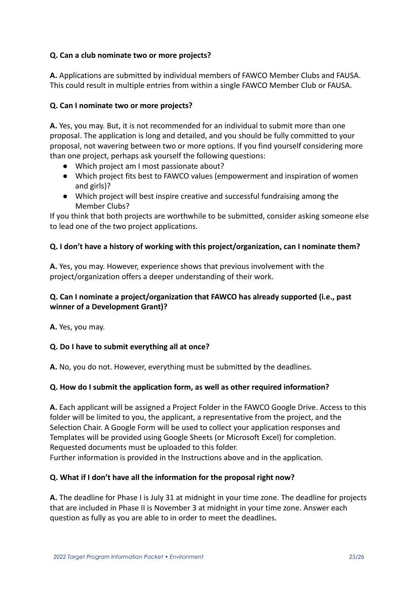### **Q. Can a club nominate two or more projects?**

**A.** Applications are submitted by individual members of FAWCO Member Clubs and FAUSA. This could result in multiple entries from within a single FAWCO Member Club or FAUSA.

### **Q. Can I nominate two or more projects?**

**A.** Yes, you may. But, it is not recommended for an individual to submit more than one proposal. The application is long and detailed, and you should be fully committed to your proposal, not wavering between two or more options. If you find yourself considering more than one project, perhaps ask yourself the following questions:

- Which project am I most passionate about?
- Which project fits best to FAWCO values (empowerment and inspiration of women and girls)?
- Which project will best inspire creative and successful fundraising among the Member Clubs?

If you think that both projects are worthwhile to be submitted, consider asking someone else to lead one of the two project applications.

### **Q. I don't have a history of working with this project/organization, can I nominate them?**

**A.** Yes, you may. However, experience shows that previous involvement with the project/organization offers a deeper understanding of their work.

### **Q. Can I nominate a project/organization that FAWCO has already supported (i.e., past winner of a Development Grant)?**

**A.** Yes, you may.

### **Q. Do I have to submit everything all at once?**

**A.** No, you do not. However, everything must be submitted by the deadlines.

### **Q. How do I submit the application form, as well as other required information?**

**A.** Each applicant will be assigned a Project Folder in the FAWCO Google Drive. Access to this folder will be limited to you, the applicant, a representative from the project, and the Selection Chair. A Google Form will be used to collect your application responses and Templates will be provided using Google Sheets (or Microsoft Excel) for completion. Requested documents must be uploaded to this folder. Further information is provided in the Instructions above and in the application.

## **Q. What if I don't have all the information for the proposal right now?**

**A.** The deadline for Phase I is July 31 at midnight in your time zone. The deadline for projects that are included in Phase II is November 3 at midnight in your time zone. Answer each question as fully as you are able to in order to meet the deadlines.